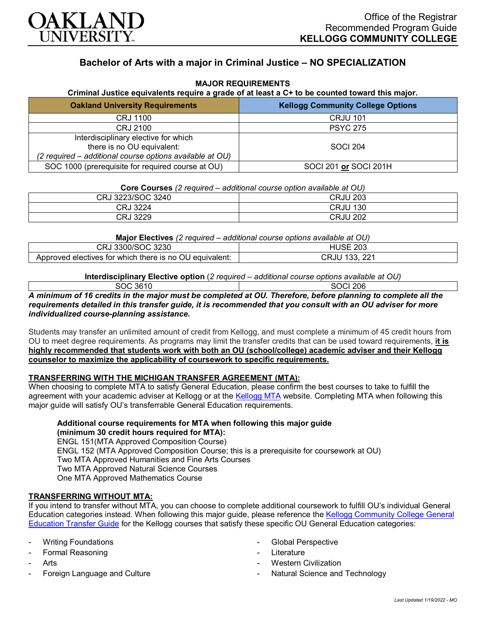

# **Bachelor of Arts with a major in Criminal Justice – NO SPECIALIZATION**

#### **MAJOR REQUIREMENTS**

#### **Criminal Justice equivalents require a grade of at least a C+ to be counted toward this major.**

| <b>Oakland University Requirements</b>                                                                                         | <b>Kellogg Community College Options</b> |
|--------------------------------------------------------------------------------------------------------------------------------|------------------------------------------|
| <b>CRJ 1100</b>                                                                                                                | <b>CRJU 101</b>                          |
| CRJ 2100                                                                                                                       | <b>PSYC 275</b>                          |
| Interdisciplinary elective for which<br>there is no OU equivalent:<br>(2 required – additional course options available at OU) | <b>SOCI 204</b>                          |
| SOC 1000 (prerequisite for required course at OU)                                                                              | SOCI 201 or SOCI 201H                    |

| 3223/SOC 3240<br>CRJ | <b>CRJU 203</b> |
|----------------------|-----------------|
| ' 3224<br>CRJ        | 130<br>CRJU     |
| າລວດ<br>CRJ<br>ة∠∠ت  | CRJU<br>202     |

**Major Electives** *(2 required – additional course options available at OU)*

| 3230<br>-3300/5<br>יר<br>$\cdot$<br>ں\ اب                  | nno.<br>-203<br>- שכנ<br>⊣ட  |
|------------------------------------------------------------|------------------------------|
| )U equivalent:<br>Approved electives for which there is no | ົດດາ<br>$\sim$<br>JRJU.<br>. |

**Interdisciplinary Elective option** (*2 required – additional course options available at OU)* SOC 3610 SOCI 206

*A minimum of 16 credits in the major must be completed at OU. Therefore, before planning to complete all the requirements detailed in this transfer guide, it is recommended that you consult with an OU adviser for more individualized course-planning assistance.*

Students may transfer an unlimited amount of credit from Kellogg, and must complete a minimum of 45 credit hours from OU to meet degree requirements. As programs may limit the transfer credits that can be used toward requirements, **it is highly recommended that students work with both an OU (school/college) academic adviser and their Kellogg counselor to maximize the applicability of coursework to specific requirements.**

# **TRANSFERRING WITH THE MICHIGAN TRANSFER AGREEMENT (MTA):**

When choosing to complete MTA to satisfy General Education, please confirm the best courses to take to fulfill the agreement with your academic adviser at Kellogg or at the [Kellogg MTA](http://catalog.kellogg.edu/content.php?catoid=16&navoid=705&hl=Michigan+Transfer+Agreement&returnto=search) website. Completing MTA when following this major guide will satisfy OU's transferrable General Education requirements.

**Additional course requirements for MTA when following this major guide (minimum 30 credit hours required for MTA):**

ENGL 151(MTA Approved Composition Course) ENGL 152 (MTA Approved Composition Course; this is a prerequisite for coursework at OU) Two MTA Approved Humanities and Fine Arts Courses Two MTA Approved Natural Science Courses One MTA Approved Mathematics Course

### **TRANSFERRING WITHOUT MTA:**

If you intend to transfer without MTA, you can choose to complete additional coursework to fulfill OU's individual General Education categories instead. When following this major guide, please reference the [Kellogg Community College General](https://www.oakland.edu/Assets/Oakland/program-guides/kellogg-community-college/university-general-education-requirements/Kellogg%20Gen%20Ed.pdf)  [Education Transfer Guide](https://www.oakland.edu/Assets/Oakland/program-guides/kellogg-community-college/university-general-education-requirements/Kellogg%20Gen%20Ed.pdf) for the Kellogg courses that satisfy these specific OU General Education categories:

- **Writing Foundations**
- Formal Reasoning
- **Arts**
- Foreign Language and Culture
- Global Perspective
- **Literature**
- Western Civilization
- Natural Science and Technology